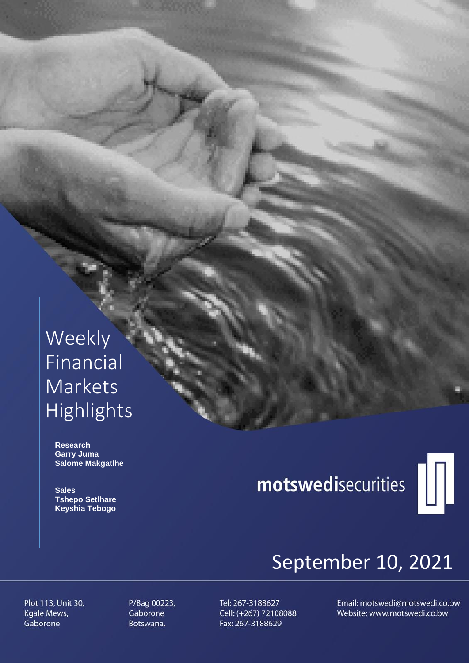## Weekly Financial Markets Highlights

 **Research Garry Juma Salome Makgatlhe**

 **Sales Tshepo Setlhare Keyshia Tebogo**

# motswedisecurities



## September 10, 2021

Plot 113, Unit 30, Kgale Mews, Gaborone

P/Bag 00223, Gaborone Botswana.

Tel: 267-3188627 Cell: (+267) 72108088 Fax: 267-3188629

Email: motswedi@motswedi.co.bw Website: www.motswedi.co.bw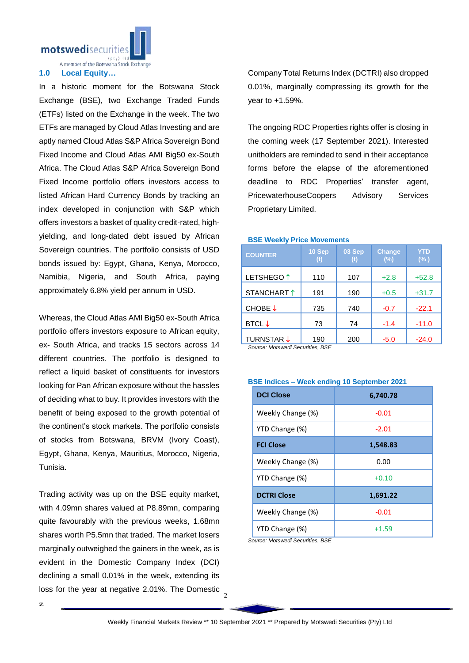

A member of the Botswana Stock Exchange

#### **1.0 Local Equity…**

In a historic moment for the Botswana Stock Exchange (BSE), two Exchange Traded Funds (ETFs) listed on the Exchange in the week. The two ETFs are managed by Cloud Atlas Investing and are aptly named Cloud Atlas S&P Africa Sovereign Bond Fixed Income and Cloud Atlas AMI Big50 ex-South Africa. The Cloud Atlas S&P Africa Sovereign Bond Fixed Income portfolio offers investors access to listed African Hard Currency Bonds by tracking an index developed in conjunction with S&P which offers investors a basket of quality credit-rated, highyielding, and long-dated debt issued by African Sovereign countries. The portfolio consists of USD bonds issued by: Egypt, Ghana, Kenya, Morocco, Namibia, Nigeria, and South Africa, paying approximately 6.8% yield per annum in USD.

Whereas, the Cloud Atlas AMI Big50 ex-South Africa portfolio offers investors exposure to African equity, ex- South Africa, and tracks 15 sectors across 14 different countries. The portfolio is designed to reflect a liquid basket of constituents for investors looking for Pan African exposure without the hassles of deciding what to buy. It provides investors with the benefit of being exposed to the growth potential of the continent's stock markets. The portfolio consists of stocks from Botswana, BRVM (Ivory Coast), Egypt, Ghana, Kenya, Mauritius, Morocco, Nigeria, Tunisia.

loss for the year at negative 2.01%. The Domestic  $\frac{2}{2}$ Trading activity was up on the BSE equity market, with 4.09mn shares valued at P8.89mn, comparing quite favourably with the previous weeks, 1.68mn shares worth P5.5mn that traded. The market losers marginally outweighed the gainers in the week, as is evident in the Domestic Company Index (DCI) declining a small 0.01% in the week, extending its

Company Total Returns Index (DCTRI) also dropped 0.01%, marginally compressing its growth for the year to +1.59%.

The ongoing RDC Properties rights offer is closing in the coming week (17 September 2021). Interested unitholders are reminded to send in their acceptance forms before the elapse of the aforementioned deadline to RDC Properties' transfer agent, PricewaterhouseCoopers Advisory Services Proprietary Limited.

#### **BSE Weekly Price Movements**

| <b>COUNTER</b>        | 10 Sep | 03 Sep | <b>Change</b><br>(%) | <b>YTD</b><br>$(\% )$ |
|-----------------------|--------|--------|----------------------|-----------------------|
| LETSHEGO <sup>1</sup> | 110    | 107    | $+2.8$               | $+52.8$               |
| STANCHART 1           | 191    | 190    | $+0.5$               | $+31.7$               |
| CHOBE ↓               | 735    | 740    | $-0.7$               | $-22.1$               |
| <b>BTCL</b> ↓         | 73     | 74     | $-1.4$               | $-11.0$               |
| <b>TURNSTAR ↓</b>     | 190    | 200    | $-5.0$               | $-24.0$               |

*Source: Motswedi Securities, BSE* 

| <b>BSE Indices - Week ending 10 September 2021</b> |  |  |  |  |  |
|----------------------------------------------------|--|--|--|--|--|
|----------------------------------------------------|--|--|--|--|--|

| <b>DCI Close</b>   | 6,740.78 |  |  |
|--------------------|----------|--|--|
| Weekly Change (%)  | $-0.01$  |  |  |
| YTD Change (%)     | $-2.01$  |  |  |
| <b>FCI Close</b>   | 1,548.83 |  |  |
| Weekly Change (%)  | 0.00     |  |  |
| YTD Change (%)     | $+0.10$  |  |  |
| <b>DCTRI Close</b> | 1,691.22 |  |  |
| Weekly Change (%)  | $-0.01$  |  |  |
| YTD Change (%)     | $+1.59$  |  |  |

*Source: Motswedi Securities, BSE*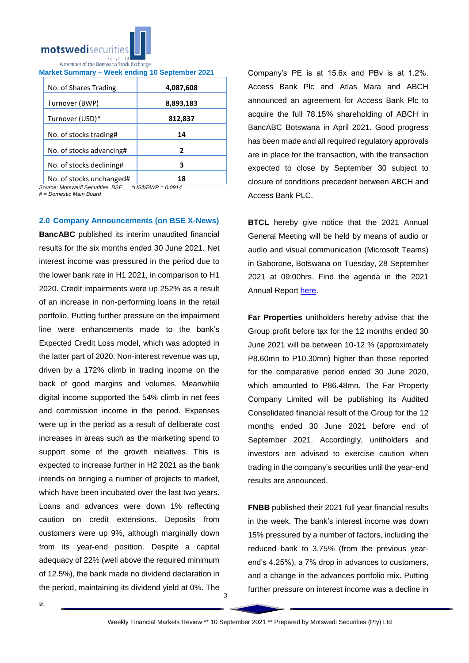

| <b>Market Summary - Week ending 10 September 2021</b> |  |  |
|-------------------------------------------------------|--|--|
|                                                       |  |  |

| No. of Shares Trading    | 4,087,608 |
|--------------------------|-----------|
| Turnover (BWP)           | 8,893,183 |
| Turnover (USD)*          | 812,837   |
| No. of stocks trading#   | 14        |
| No. of stocks advancing# | 2         |
| No. of stocks declining# | З         |
| No. of stocks unchanged# | 18        |

*Source: Motswedi Securities, BSE \*US\$/BWP = 0.0914*

*# = Domestic Main Board*

#### **2.0 Company Announcements (on BSE X-News)**

**BancABC** published its interim unaudited financial results for the six months ended 30 June 2021. Net interest income was pressured in the period due to the lower bank rate in H1 2021, in comparison to H1 2020. Credit impairments were up 252% as a result of an increase in non-performing loans in the retail portfolio. Putting further pressure on the impairment line were enhancements made to the bank's Expected Credit Loss model, which was adopted in the latter part of 2020. Non-interest revenue was up, driven by a 172% climb in trading income on the back of good margins and volumes. Meanwhile digital income supported the 54% climb in net fees and commission income in the period. Expenses were up in the period as a result of deliberate cost increases in areas such as the marketing spend to support some of the growth initiatives. This is expected to increase further in H2 2021 as the bank intends on bringing a number of projects to market, which have been incubated over the last two years. Loans and advances were down 1% reflecting caution on credit extensions. Deposits from customers were up 9%, although marginally down from its year-end position. Despite a capital adequacy of 22% (well above the required minimum of 12.5%), the bank made no dividend declaration in the period, maintaining its dividend yield at 0%. The

Company's PE is at 15.6x and PBv is at 1.2%. Access Bank Plc and Atlas Mara and ABCH announced an agreement for Access Bank Plc to acquire the full 78.15% shareholding of ABCH in BancABC Botswana in April 2021. Good progress has been made and all required regulatory approvals are in place for the transaction, with the transaction expected to close by September 30 subject to closure of conditions precedent between ABCH and Access Bank PLC.

**BTCL** hereby give notice that the 2021 Annual General Meeting will be held by means of audio or audio and visual communication (Microsoft Teams) in Gaborone, Botswana on Tuesday, 28 September 2021 at 09:00hrs. Find the agenda in the 2021 Annual Report [here.](https://apis.bse.co.bw/storage/disclosures/09/2021/2313.pdf)

**Far Properties** unitholders hereby advise that the Group profit before tax for the 12 months ended 30 June 2021 will be between 10-12 % (approximately P8.60mn to P10.30mn) higher than those reported for the comparative period ended 30 June 2020, which amounted to P86.48mn. The Far Property Company Limited will be publishing its Audited Consolidated financial result of the Group for the 12 months ended 30 June 2021 before end of September 2021. Accordingly, unitholders and investors are advised to exercise caution when trading in the company's securities until the year-end results are announced.

**FNBB** published their 2021 full year financial results in the week. The bank's interest income was down 15% pressured by a number of factors, including the reduced bank to 3.75% (from the previous yearend's 4.25%), a 7% drop in advances to customers, and a change in the advances portfolio mix. Putting further pressure on interest income was a decline in

3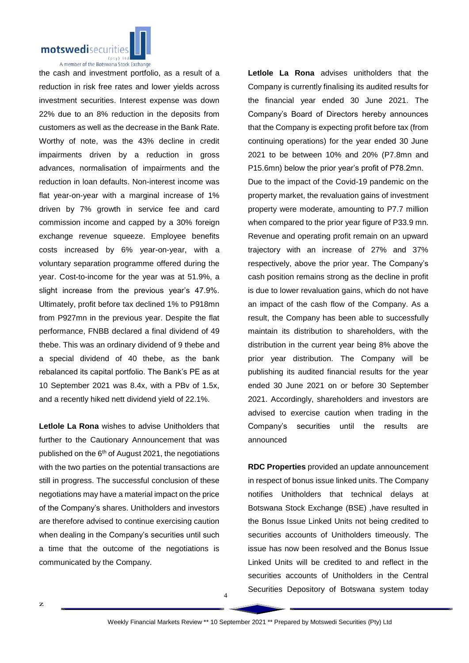

A member of the Botswana Stock Exchange

the cash and investment portfolio, as a result of a reduction in risk free rates and lower yields across investment securities. Interest expense was down 22% due to an 8% reduction in the deposits from customers as well as the decrease in the Bank Rate. Worthy of note, was the 43% decline in credit impairments driven by a reduction in gross advances, normalisation of impairments and the reduction in loan defaults. Non-interest income was flat year-on-year with a marginal increase of 1% driven by 7% growth in service fee and card commission income and capped by a 30% foreign exchange revenue squeeze. Employee benefits costs increased by 6% year-on-year, with a voluntary separation programme offered during the year. Cost-to-income for the year was at 51.9%, a slight increase from the previous year's 47.9%. Ultimately, profit before tax declined 1% to P918mn from P927mn in the previous year. Despite the flat performance, FNBB declared a final dividend of 49 thebe. This was an ordinary dividend of 9 thebe and a special dividend of 40 thebe, as the bank rebalanced its capital portfolio. The Bank's PE as at 10 September 2021 was 8.4x, with a PBv of 1.5x, and a recently hiked nett dividend yield of 22.1%.

**Letlole La Rona** wishes to advise Unitholders that further to the Cautionary Announcement that was published on the 6<sup>th</sup> of August 2021, the negotiations with the two parties on the potential transactions are still in progress. The successful conclusion of these negotiations may have a material impact on the price of the Company's shares. Unitholders and investors are therefore advised to continue exercising caution when dealing in the Company's securities until such a time that the outcome of the negotiations is communicated by the Company.

**Letlole La Rona** advises unitholders that the Company is currently finalising its audited results for the financial year ended 30 June 2021. The Company's Board of Directors hereby announces that the Company is expecting profit before tax (from continuing operations) for the year ended 30 June 2021 to be between 10% and 20% (P7.8mn and P15.6mn) below the prior year's profit of P78.2mn. Due to the impact of the Covid-19 pandemic on the property market, the revaluation gains of investment property were moderate, amounting to P7.7 million when compared to the prior year figure of P33.9 mn. Revenue and operating profit remain on an upward trajectory with an increase of 27% and 37% respectively, above the prior year. The Company's cash position remains strong as the decline in profit is due to lower revaluation gains, which do not have an impact of the cash flow of the Company. As a result, the Company has been able to successfully maintain its distribution to shareholders, with the distribution in the current year being 8% above the prior year distribution. The Company will be publishing its audited financial results for the year ended 30 June 2021 on or before 30 September 2021. Accordingly, shareholders and investors are advised to exercise caution when trading in the Company's securities until the results are announced

**RDC Properties** provided an update announcement in respect of bonus issue linked units. The Company notifies Unitholders that technical delays at Botswana Stock Exchange (BSE) ,have resulted in the Bonus Issue Linked Units not being credited to securities accounts of Unitholders timeously. The issue has now been resolved and the Bonus Issue Linked Units will be credited to and reflect in the securities accounts of Unitholders in the Central Securities Depository of Botswana system today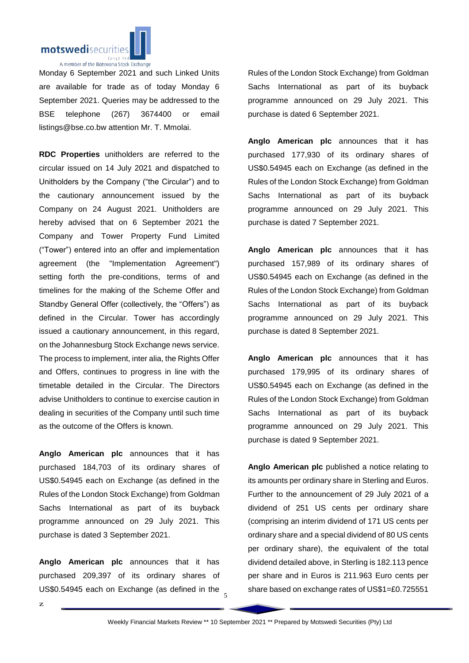

Monday 6 September 2021 and such Linked Units are available for trade as of today Monday 6 September 2021. Queries may be addressed to the BSE telephone (267) 3674400 or email listings@bse.co.bw attention Mr. T. Mmolai.

**RDC Properties** unitholders are referred to the circular issued on 14 July 2021 and dispatched to Unitholders by the Company ("the Circular") and to the cautionary announcement issued by the Company on 24 August 2021. Unitholders are hereby advised that on 6 September 2021 the Company and Tower Property Fund Limited ("Tower") entered into an offer and implementation agreement (the "Implementation Agreement") setting forth the pre-conditions, terms of and timelines for the making of the Scheme Offer and Standby General Offer (collectively, the "Offers") as defined in the Circular. Tower has accordingly issued a cautionary announcement, in this regard, on the Johannesburg Stock Exchange news service. The process to implement, inter alia, the Rights Offer and Offers, continues to progress in line with the timetable detailed in the Circular. The Directors advise Unitholders to continue to exercise caution in dealing in securities of the Company until such time as the outcome of the Offers is known.

**Anglo American plc** announces that it has purchased 184,703 of its ordinary shares of US\$0.54945 each on Exchange (as defined in the Rules of the London Stock Exchange) from Goldman Sachs International as part of its buyback programme announced on 29 July 2021. This purchase is dated 3 September 2021.

**Anglo American plc** announces that it has purchased 209,397 of its ordinary shares of US\$0.54945 each on Exchange (as defined in the

Rules of the London Stock Exchange) from Goldman Sachs International as part of its buyback programme announced on 29 July 2021. This purchase is dated 6 September 2021.

**Anglo American plc** announces that it has purchased 177,930 of its ordinary shares of US\$0.54945 each on Exchange (as defined in the Rules of the London Stock Exchange) from Goldman Sachs International as part of its buyback programme announced on 29 July 2021. This purchase is dated 7 September 2021.

**Anglo American plc** announces that it has purchased 157,989 of its ordinary shares of US\$0.54945 each on Exchange (as defined in the Rules of the London Stock Exchange) from Goldman Sachs International as part of its buyback programme announced on 29 July 2021. This purchase is dated 8 September 2021.

**Anglo American plc** announces that it has purchased 179,995 of its ordinary shares of US\$0.54945 each on Exchange (as defined in the Rules of the London Stock Exchange) from Goldman Sachs International as part of its buyback programme announced on 29 July 2021. This purchase is dated 9 September 2021.

**Anglo American plc** published a notice relating to its amounts per ordinary share in Sterling and Euros. Further to the announcement of 29 July 2021 of a dividend of 251 US cents per ordinary share (comprising an interim dividend of 171 US cents per ordinary share and a special dividend of 80 US cents per ordinary share), the equivalent of the total dividend detailed above, in Sterling is 182.113 pence per share and in Euros is 211.963 Euro cents per share based on exchange rates of US\$1=£0.725551

5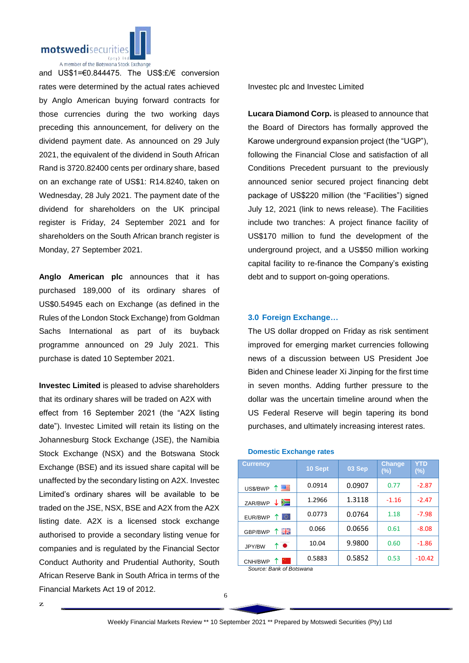

A member of the Botswana Stock Exchange

and US\$1=€0.844475. The US\$:£/€ conversion rates were determined by the actual rates achieved by Anglo American buying forward contracts for those currencies during the two working days preceding this announcement, for delivery on the dividend payment date. As announced on 29 July 2021, the equivalent of the dividend in South African Rand is 3720.82400 cents per ordinary share, based on an exchange rate of US\$1: R14.8240, taken on Wednesday, 28 July 2021. The payment date of the dividend for shareholders on the UK principal register is Friday, 24 September 2021 and for shareholders on the South African branch register is Monday, 27 September 2021.

**Anglo American plc** announces that it has purchased 189,000 of its ordinary shares of US\$0.54945 each on Exchange (as defined in the Rules of the London Stock Exchange) from Goldman Sachs International as part of its buyback programme announced on 29 July 2021. This purchase is dated 10 September 2021.

**Investec Limited** is pleased to advise shareholders that its ordinary shares will be traded on A2X with effect from 16 September 2021 (the "A2X listing date"). Investec Limited will retain its listing on the Johannesburg Stock Exchange (JSE), the Namibia Stock Exchange (NSX) and the Botswana Stock Exchange (BSE) and its issued share capital will be unaffected by the secondary listing on A2X. Investec Limited's ordinary shares will be available to be traded on the JSE, NSX, BSE and A2X from the A2X listing date. A2X is a licensed stock exchange authorised to provide a secondary listing venue for companies and is regulated by the Financial Sector Conduct Authority and Prudential Authority, South African Reserve Bank in South Africa in terms of the Financial Markets Act 19 of 2012.

z

Investec plc and Investec Limited

**Lucara Diamond Corp.** is pleased to announce that the Board of Directors has formally approved the Karowe underground expansion project (the "UGP"), following the Financial Close and satisfaction of all Conditions Precedent pursuant to the previously announced senior secured project financing debt package of US\$220 million (the "Facilities") signed July 12, 2021 (link to news release). The Facilities include two tranches: A project finance facility of US\$170 million to fund the development of the underground project, and a US\$50 million working capital facility to re-finance the Company's existing debt and to support on-going operations.

#### **3.0 Foreign Exchange…**

The US dollar dropped on Friday as risk sentiment improved for emerging market currencies following news of a discussion between US President Joe Biden and Chinese leader Xi Jinping for the first time in seven months. Adding further pressure to the dollar was the uncertain timeline around when the US Federal Reserve will begin tapering its bond purchases, and ultimately increasing interest rates.

#### **Domestic Exchange rates**

| <b>Currency</b> | 10 Sept | 03 Sep | <b>Change</b><br>(%) | YTD<br>$(\%)$ |
|-----------------|---------|--------|----------------------|---------------|
| ↑■<br>US\$/BWP  | 0.0914  | 0.0907 | 0.77                 | $-2.87$       |
| ≔<br>ZAR/BWP    | 1.2966  | 1.3118 | $-1.16$              | $-2.47$       |
| 0<br>EUR/BWP    | 0.0773  | 0.0764 | 1.18                 | $-7.98$       |
| 開開<br>GBP/BWP   | 0.066   | 0.0656 | 0.61                 | $-8.08$       |
| ↑●<br>JPY/BW    | 10.04   | 9.9800 | 0.60                 | $-1.86$       |
| 89 L<br>CNH/BWP | 0.5883  | 0.5852 | 0.53                 | $-10.42$      |

*Source: Bank of Botswana*